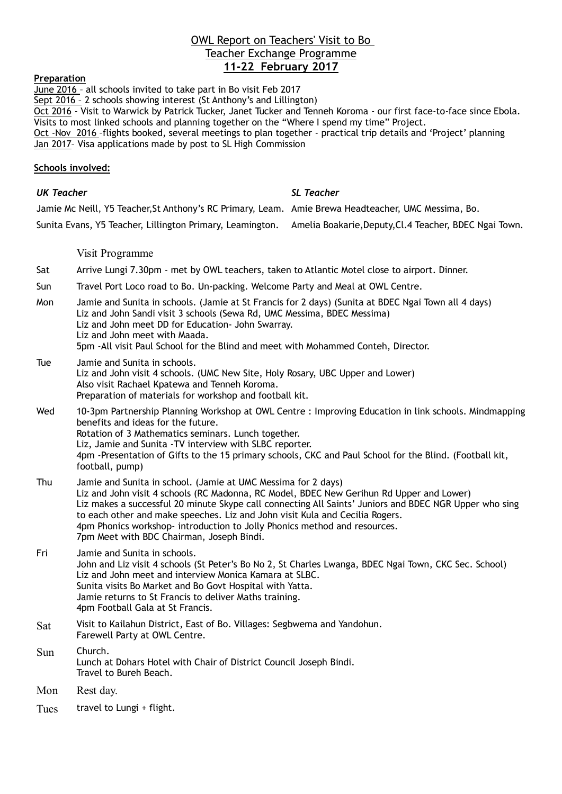### OWL Report on Teachers' Visit to Bo Teacher Exchange Programme **11-22 February 2017**

#### **Preparation**

June 2016 – all schools invited to take part in Bo visit Feb 2017 Sept 2016 - 2 schools showing interest (St Anthony's and Lillington) Oct 2016 - Visit to Warwick by Patrick Tucker, Janet Tucker and Tenneh Koroma - our first face-to-face since Ebola. Visits to most linked schools and planning together on the "Where I spend my time" Project. Oct -Nov 2016 –flights booked, several meetings to plan together - practical trip details and 'Project' planning Jan 2017– Visa applications made by post to SL High Commission

#### **Schools involved:**

#### *UK Teacher SL Teacher*

Jamie Mc Neill, Y5 Teacher,St Anthony's RC Primary, Leam. Amie Brewa Headteacher, UMC Messima, Bo. Sunita Evans, Y5 Teacher, Lillington Primary, Leamington. Amelia Boakarie,Deputy,Cl.4 Teacher, BDEC Ngai Town.

Visit Programme

- Sat Arrive Lungi 7.30pm met by OWL teachers, taken to Atlantic Motel close to airport. Dinner.
- Sun Travel Port Loco road to Bo. Un-packing. Welcome Party and Meal at OWL Centre.
- Mon Jamie and Sunita in schools. (Jamie at St Francis for 2 days) (Sunita at BDEC Ngai Town all 4 days) Liz and John Sandi visit 3 schools (Sewa Rd, UMC Messima, BDEC Messima) Liz and John meet DD for Education- John Swarray. Liz and John meet with Maada. 5pm -All visit Paul School for the Blind and meet with Mohammed Conteh, Director.
- Tue Jamie and Sunita in schools. Liz and John visit 4 schools. (UMC New Site, Holy Rosary, UBC Upper and Lower) Also visit Rachael Kpatewa and Tenneh Koroma. Preparation of materials for workshop and football kit.
- Wed 10-3pm Partnership Planning Workshop at OWL Centre : Improving Education in link schools. Mindmapping benefits and ideas for the future. Rotation of 3 Mathematics seminars. Lunch together. Liz, Jamie and Sunita -TV interview with SLBC reporter. 4pm -Presentation of Gifts to the 15 primary schools, CKC and Paul School for the Blind. (Football kit, football, pump)
- Thu Jamie and Sunita in school. (Jamie at UMC Messima for 2 days) Liz and John visit 4 schools (RC Madonna, RC Model, BDEC New Gerihun Rd Upper and Lower) Liz makes a successful 20 minute Skype call connecting All Saints' Juniors and BDEC NGR Upper who sing to each other and make speeches. Liz and John visit Kula and Cecilia Rogers. 4pm Phonics workshop- introduction to Jolly Phonics method and resources. 7pm Meet with BDC Chairman, Joseph Bindi.
- Fri Jamie and Sunita in schools. John and Liz visit 4 schools (St Peter's Bo No 2, St Charles Lwanga, BDEC Ngai Town, CKC Sec. School) Liz and John meet and interview Monica Kamara at SLBC. Sunita visits Bo Market and Bo Govt Hospital with Yatta. Jamie returns to St Francis to deliver Maths training. 4pm Football Gala at St Francis.
- Sat Visit to Kailahun District, East of Bo. Villages: Segbwema and Yandohun. Farewell Party at OWL Centre.
- Sun Church. Lunch at Dohars Hotel with Chair of District Council Joseph Bindi. Travel to Bureh Beach.
- Mon Rest day.
- Tues travel to Lungi + flight.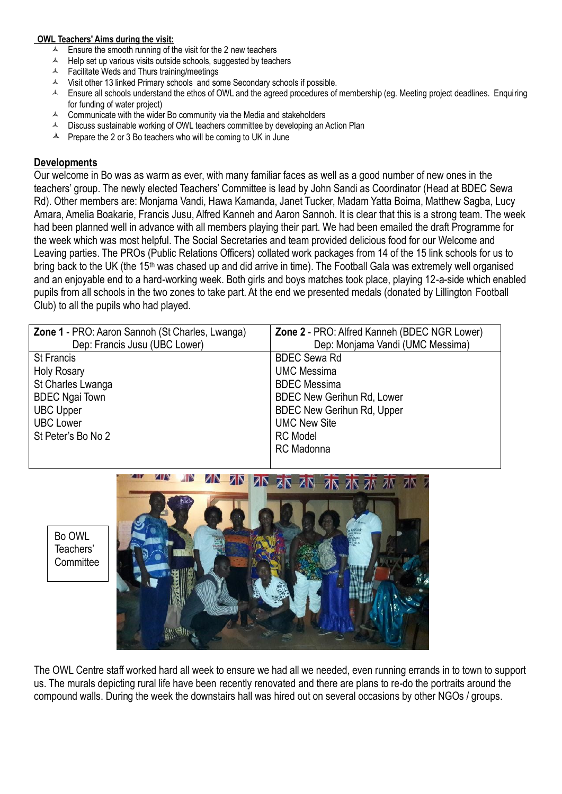#### **OWL Teachers' Aims during the visit:**

- $\triangle$  Ensure the smooth running of the visit for the 2 new teachers
- $\triangle$  Help set up various visits outside schools, suggested by teachers
- $\triangle$  Facilitate Weds and Thurs training/meetings
- $\triangle$  Visit other 13 linked Primary schools and some Secondary schools if possible.
- $\triangle$  Ensure all schools understand the ethos of OWL and the agreed procedures of membership (eq. Meeting project deadlines. Enquiring for funding of water project)
- $\triangle$  Communicate with the wider Bo community via the Media and stakeholders
- $\blacktriangle$  Discuss sustainable working of OWL teachers committee by developing an Action Plan
- $\blacktriangle$  Prepare the 2 or 3 Bo teachers who will be coming to UK in June

#### **Developments**

Our welcome in Bo was as warm as ever, with many familiar faces as well as a good number of new ones in the teachers' group. The newly elected Teachers' Committee is lead by John Sandi as Coordinator (Head at BDEC Sewa Rd). Other members are: Monjama Vandi, Hawa Kamanda, Janet Tucker, Madam Yatta Boima, Matthew Sagba, Lucy Amara, Amelia Boakarie, Francis Jusu, Alfred Kanneh and Aaron Sannoh. It is clear that this is a strong team. The week had been planned well in advance with all members playing their part. We had been emailed the draft Programme for the week which was most helpful. The Social Secretaries and team provided delicious food for our Welcome and Leaving parties. The PROs (Public Relations Officers) collated work packages from 14 of the 15 link schools for us to bring back to the UK (the 15th was chased up and did arrive in time). The Football Gala was extremely well organised and an enjoyable end to a hard-working week. Both girls and boys matches took place, playing 12-a-side which enabled pupils from all schools in the two zones to take part. At the end we presented medals (donated by Lillington Football Club) to all the pupils who had played.

| Zone 1 - PRO: Aaron Sannoh (St Charles, Lwanga) | Zone 2 - PRO: Alfred Kanneh (BDEC NGR Lower) |
|-------------------------------------------------|----------------------------------------------|
| Dep: Francis Jusu (UBC Lower)                   | Dep: Monjama Vandi (UMC Messima)             |
| <b>St Francis</b>                               | <b>BDEC Sewa Rd</b>                          |
| <b>Holy Rosary</b>                              | <b>UMC Messima</b>                           |
| St Charles Lwanga                               | <b>BDEC</b> Messima                          |
| <b>BDEC Ngai Town</b>                           | <b>BDEC New Gerihun Rd, Lower</b>            |
| <b>UBC Upper</b>                                | <b>BDEC New Gerihun Rd, Upper</b>            |
| <b>UBC Lower</b>                                | <b>UMC New Site</b>                          |
| St Peter's Bo No 2                              | <b>RC</b> Model                              |
|                                                 | <b>RC</b> Madonna                            |
|                                                 |                                              |





The OWL Centre staff worked hard all week to ensure we had all we needed, even running errands in to town to support us. The murals depicting rural life have been recently renovated and there are plans to re-do the portraits around the compound walls. During the week the downstairs hall was hired out on several occasions by other NGOs / groups.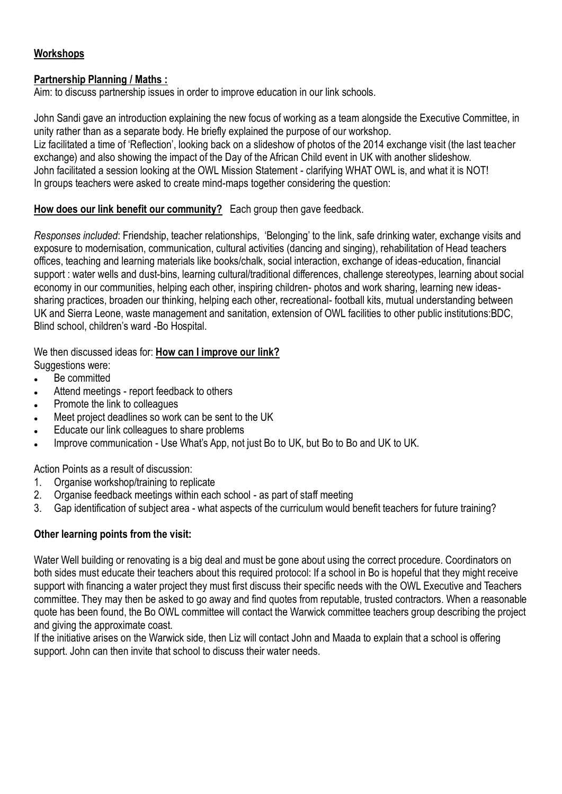# **Workshops**

## **Partnership Planning / Maths :**

Aim: to discuss partnership issues in order to improve education in our link schools.

John Sandi gave an introduction explaining the new focus of working as a team alongside the Executive Committee, in unity rather than as a separate body. He briefly explained the purpose of our workshop. Liz facilitated a time of 'Reflection', looking back on a slideshow of photos of the 2014 exchange visit (the last teacher exchange) and also showing the impact of the Day of the African Child event in UK with another slideshow. John facilitated a session looking at the OWL Mission Statement - clarifying WHAT OWL is, and what it is NOT! In groups teachers were asked to create mind-maps together considering the question:

# **How does our link benefit our community?** Each group then gave feedback.

*Responses included*: Friendship, teacher relationships, 'Belonging' to the link, safe drinking water, exchange visits and exposure to modernisation, communication, cultural activities (dancing and singing), rehabilitation of Head teachers offices, teaching and learning materials like books/chalk, social interaction, exchange of ideas-education, financial support : water wells and dust-bins, learning cultural/traditional differences, challenge stereotypes, learning about social economy in our communities, helping each other, inspiring children- photos and work sharing, learning new ideassharing practices, broaden our thinking, helping each other, recreational- football kits, mutual understanding between UK and Sierra Leone, waste management and sanitation, extension of OWL facilities to other public institutions:BDC, Blind school, children's ward -Bo Hospital.

We then discussed ideas for: **How can I improve our link?**

- Suggestions were:
- Be committed
- Attend meetings report feedback to others
- Promote the link to colleagues
- Meet project deadlines so work can be sent to the UK
- Educate our link colleagues to share problems
- Improve communication Use What's App, not just Bo to UK, but Bo to Bo and UK to UK.

Action Points as a result of discussion:

- 1. Organise workshop/training to replicate
- 2. Organise feedback meetings within each school as part of staff meeting
- 3. Gap identification of subject area what aspects of the curriculum would benefit teachers for future training?

# **Other learning points from the visit:**

Water Well building or renovating is a big deal and must be gone about using the correct procedure. Coordinators on both sides must educate their teachers about this required protocol: If a school in Bo is hopeful that they might receive support with financing a water project they must first discuss their specific needs with the OWL Executive and Teachers committee. They may then be asked to go away and find quotes from reputable, trusted contractors. When a reasonable quote has been found, the Bo OWL committee will contact the Warwick committee teachers group describing the project and giving the approximate coast.

If the initiative arises on the Warwick side, then Liz will contact John and Maada to explain that a school is offering support. John can then invite that school to discuss their water needs.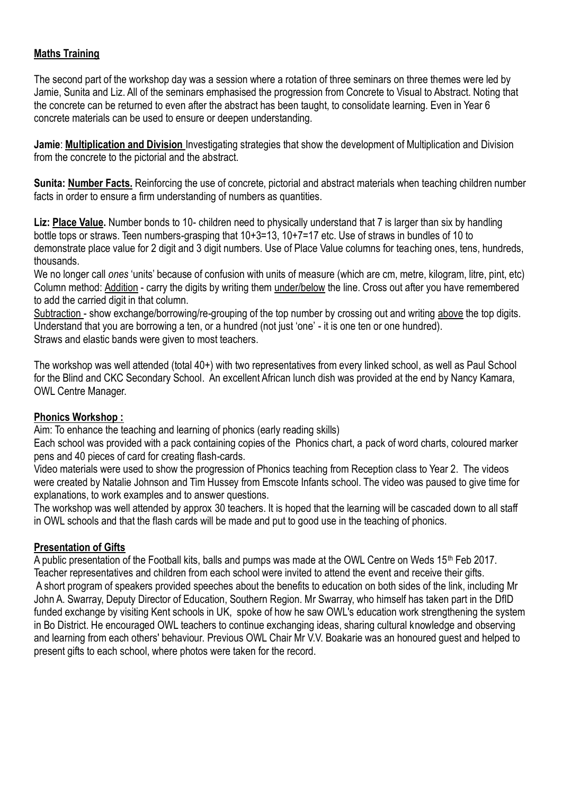# **Maths Training**

The second part of the workshop day was a session where a rotation of three seminars on three themes were led by Jamie, Sunita and Liz. All of the seminars emphasised the progression from Concrete to Visual to Abstract. Noting that the concrete can be returned to even after the abstract has been taught, to consolidate learning. Even in Year 6 concrete materials can be used to ensure or deepen understanding.

**Jamie**: **Multiplication and Division** Investigating strategies that show the development of Multiplication and Division from the concrete to the pictorial and the abstract.

**Sunita: Number Facts.** Reinforcing the use of concrete, pictorial and abstract materials when teaching children number facts in order to ensure a firm understanding of numbers as quantities.

**Liz: Place Value.** Number bonds to 10- children need to physically understand that 7 is larger than six by handling bottle tops or straws. Teen numbers-grasping that  $10+3=13$ ,  $10+7=17$  etc. Use of straws in bundles of 10 to demonstrate place value for 2 digit and 3 digit numbers. Use of Place Value columns for teaching ones, tens, hundreds, thousands.

We no longer call *ones* 'units' because of confusion with units of measure (which are cm, metre, kilogram, litre, pint, etc) Column method: Addition - carry the digits by writing them under/below the line. Cross out after you have remembered to add the carried digit in that column.

Subtraction - show exchange/borrowing/re-grouping of the top number by crossing out and writing above the top digits. Understand that you are borrowing a ten, or a hundred (not just 'one' - it is one ten or one hundred). Straws and elastic bands were given to most teachers.

The workshop was well attended (total 40+) with two representatives from every linked school, as well as Paul School for the Blind and CKC Secondary School. An excellent African lunch dish was provided at the end by Nancy Kamara, OWL Centre Manager.

# **Phonics Workshop :**

Aim: To enhance the teaching and learning of phonics (early reading skills)

Each school was provided with a pack containing copies of the Phonics chart, a pack of word charts, coloured marker pens and 40 pieces of card for creating flash-cards.

Video materials were used to show the progression of Phonics teaching from Reception class to Year 2. The videos were created by Natalie Johnson and Tim Hussey from Emscote Infants school. The video was paused to give time for explanations, to work examples and to answer questions.

The workshop was well attended by approx 30 teachers. It is hoped that the learning will be cascaded down to all staff in OWL schools and that the flash cards will be made and put to good use in the teaching of phonics.

# **Presentation of Gifts**

A public presentation of the Football kits, balls and pumps was made at the OWL Centre on Weds 15th Feb 2017. Teacher representatives and children from each school were invited to attend the event and receive their gifts. A short program of speakers provided speeches about the benefits to education on both sides of the link, including Mr John A. Swarray, Deputy Director of Education, Southern Region. Mr Swarray, who himself has taken part in the DfID funded exchange by visiting Kent schools in UK, spoke of how he saw OWL's education work strengthening the system in Bo District. He encouraged OWL teachers to continue exchanging ideas, sharing cultural knowledge and observing and learning from each others' behaviour. Previous OWL Chair Mr V.V. Boakarie was an honoured guest and helped to present gifts to each school, where photos were taken for the record.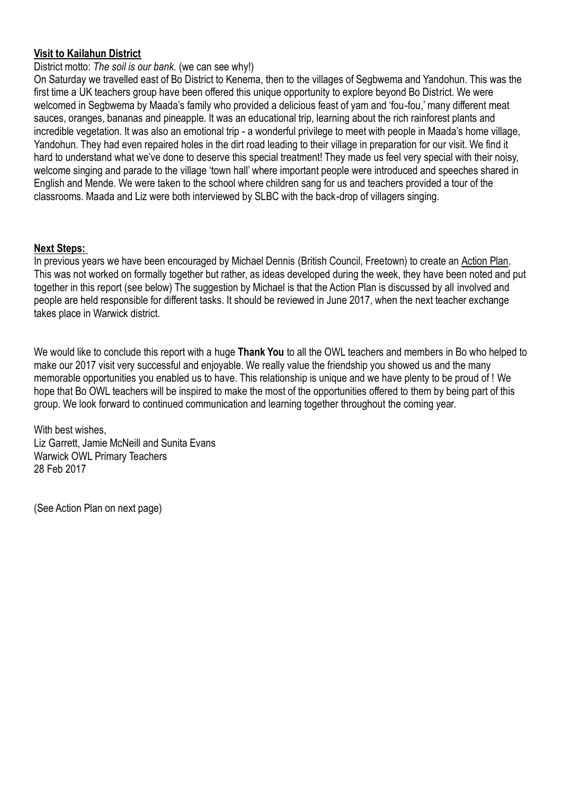## **Visit to Kailahun District**

#### District motto: *The soil is our bank.* (we can see why!)

On Saturday we travelled east of Bo District to Kenema, then to the villages of Segbwema and Yandohun. This was the first time a UK teachers group have been offered this unique opportunity to explore beyond Bo District. We were welcomed in Segbwema by Maada's family who provided a delicious feast of yam and 'fou-fou,' many different meat sauces, oranges, bananas and pineapple. It was an educational trip, learning about the rich rainforest plants and incredible vegetation. It was also an emotional trip - a wonderful privilege to meet with people in Maada's home village, Yandohun. They had even repaired holes in the dirt road leading to their village in preparation for our visit. We find it hard to understand what we've done to deserve this special treatment! They made us feel very special with their noisy, welcome singing and parade to the village 'town hall' where important people were introduced and speeches shared in English and Mende. We were taken to the school where children sang for us and teachers provided a tour of the classrooms. Maada and Liz were both interviewed by SLBC with the back-drop of villagers singing.

#### **Next Steps:**

In previous years we have been encouraged by Michael Dennis (British Council, Freetown) to create an Action Plan. This was not worked on formally together but rather, as ideas developed during the week, they have been noted and put together in this report (see below) The suggestion by Michael is that the Action Plan is discussed by all involved and people are held responsible for different tasks. It should be reviewed in June 2017, when the next teacher exchange takes place in Warwick district.

We would like to conclude this report with a huge **Thank You** to all the OWL teachers and members in Bo who helped to make our 2017 visit very successful and enjoyable. We really value the friendship you showed us and the many memorable opportunities you enabled us to have. This relationship is unique and we have plenty to be proud of ! We hope that Bo OWL teachers will be inspired to make the most of the opportunities offered to them by being part of this group. We look forward to continued communication and learning together throughout the coming year.

With best wishes. Liz Garrett, Jamie McNeill and Sunita Evans Warwick OWL Primary Teachers 28 Feb 2017

(See Action Plan on next page)